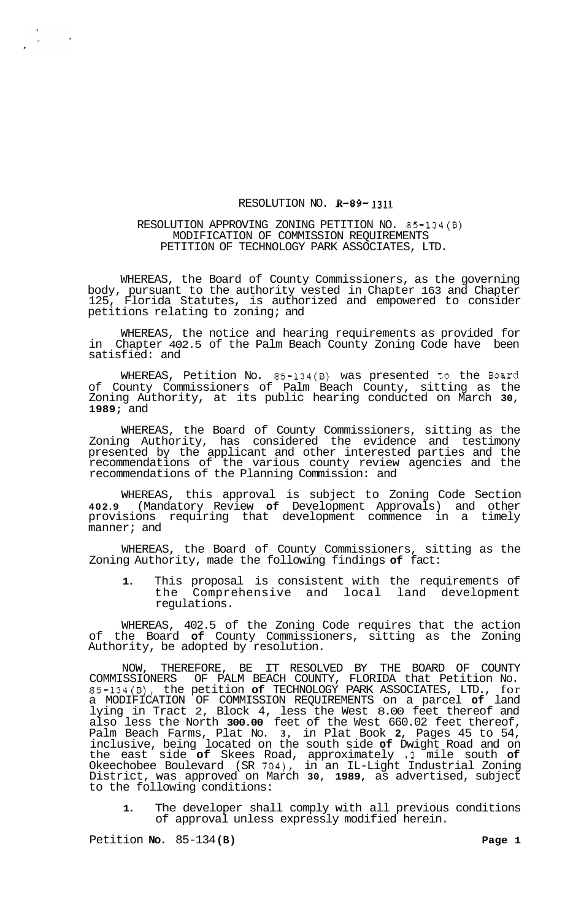## RESOLUTION NO. **R-89- 1311**

## RESOLUTION APPROVING ZONING PETITION NO. 85-134(B) MODIFICATION OF COMMISSION REQUIREMENTS PETITION OF TECHNOLOGY PARK ASSOCIATES, LTD.

WHEREAS, the Board of County Commissioners, as the governing body, pursuant to the authority vested in Chapter 163 and Chapter 125, Florida Statutes, is authorized and empowered to consider petitions relating to zoning; and

WHEREAS, the notice and hearing requirements as provided for in Chapter 402.5 of the Palm Beach County Zoning Code have been satisfied: and

WHEREAS, Petition No. 85-134(B) was presented to the Board of County Commissioners of Palm Beach County, sitting as the Zoning Authority, at its public hearing conducted on March **30, 1989;** and

WHEREAS, the Board of County Commissioners, sitting as the Zoning Authority, has considered the evidence and testimony presented by the applicant and other interested parties and the recommendations of the various county review agencies and the recommendations of the Planning Commission: and

WHEREAS, this approval is subject to Zoning Code Section **402.9** (Mandatory Review **of** Development Approvals) and other provisions requiring that development commence in a timely manner; and

WHEREAS, the Board of County Commissioners, sitting as the Zoning Authority, made the following findings **of** fact:

**1.** This proposal is consistent with the requirements of the Comprehensive and local land development regulations.

WHEREAS, 402.5 of the Zoning Code requires that the action of the Board **of** County Commissioners, sitting as the Zoning Authority, be adopted by resolution.

NOW, THEREFORE, BE IT RESOLVED BY THE BOARD OF COUNTY COMMISSIONERS OF PALM BEACH COUNTY, FLORIDA that Petition No. 85-134(B), the petition **of** TECHNOLOGY PARK ASSOCIATES, LTD., for a MODIFICATION OF COMMISSION REQUIREMENTS on a parcel **of** land lying in Tract 2, Block 4, less the West 8.00 feet thereof and also less the North **300.00** feet of the West 660.02 feet thereof, Palm Beach Farms, Plat No. **3,** in Plat Book **2,** Pages 45 to 54, inclusive, being located on the south side **of** Dwight Road and on the east side **of** Skees Road, approximately **.3** mile south **of**  Okeechobee Boulevard (SR 704), in an IL-Light Industrial Zoning District, was approved on March **30, 1989,** as advertised, subject to the following conditions:

**1.** The developer shall comply with all previous conditions of approval unless expressly modified herein.

Petition **No.** 85-134(B) **Page 1 Page 1** 

 $\sim 10^7$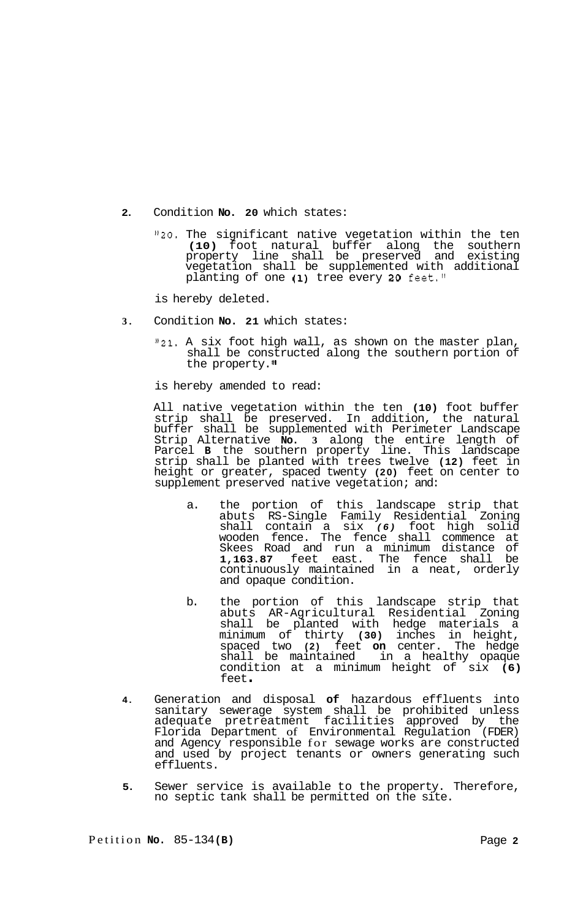- **2.** Condition **No. 20** which states:
	- *"20.* The significant native vegetation within the ten **(10)** foot natural buffer along the southern property line shall be preserved and existing vegetation shall be supplemented with additional planting of one **(1)** tree every **20** feet."

is hereby deleted.

- **3.** Condition **No. 21** which states:
	- **"21.** A six foot high wall, as shown on the master plan, shall be constructed along the southern portion of the property."

is hereby amended to read:

All native vegetation within the ten **(10)** foot buffer strip shall be preserved. In addition, the natural buffer shall be supplemented with Perimeter Landscape Strip Alternative **No. 3** along the entire length of Parcel **B** the southern property line. This landscape strip shall be planted with trees twelve **(12)** feet in height or greater, spaced twenty **(20)** feet on center to supplement preserved native vegetation; and:

- a. the portion of this landscape strip that abuts RS-Single Family Residential Zoning shall contain a six *(6)* foot high solid wooden fence. The fence shall commence at Skees Road and run a minimum distance of **1,163.87** feet east. The fence shall be continuously maintained in a neat, orderly and opaque condition.
- b. the portion of this landscape strip that abuts AR-Agricultural Residential Zoning shall be planted with hedge materials a minimum of thirty **(30)** inches in height, spaced two **(2)** feet **on** center. The hedge shall be maintained in a healthy opaque condition at a minimum height of six **(6)**  feet .
- **4.** Generation and disposal **of** hazardous effluents into sanitary sewerage system shall be prohibited unless adequate pretreatment facilities approved by the Florida Department of Environmental Regulation (FDER) and Agency responsible for sewage works are constructed and used by project tenants or owners generating such effluents.
- **5.** Sewer service is available to the property. Therefore, no septic tank shall be permitted on the site.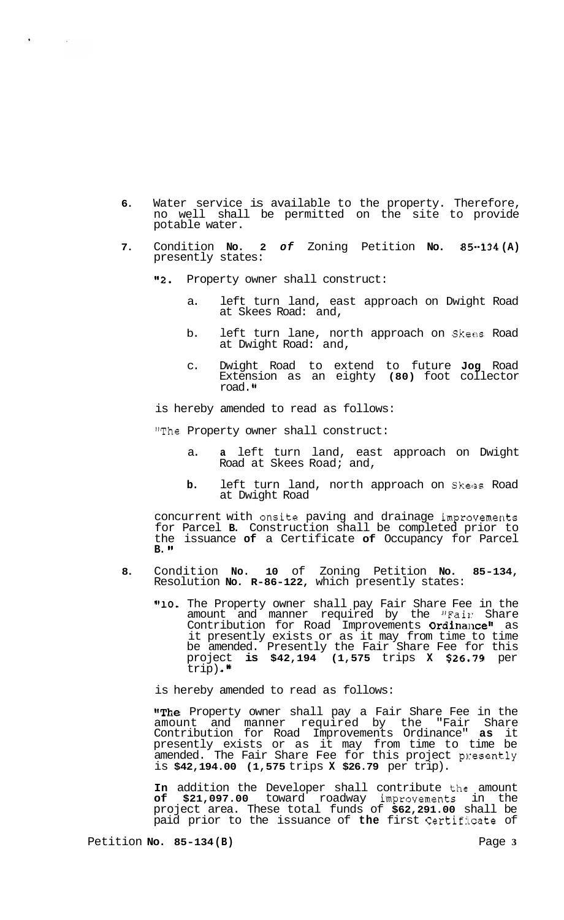- **6.** Water service is available to the property. Therefore, no well shall be permitted on the site to provide potable water.
- **7.** Condition **No. 2** *of* Zoning Petition **No. 85-134 (A)**  presently states:
	- **"2.** Property owner shall construct:

 $\sim$   $^{-1}$ 

- a. left turn land, east approach on Dwight Road at Skees Road: and,
- b. left turn lane, north approach on Skees Road at Dwight Road: and,
- c. Dwight Road to extend to future **Jog** Road Extension as an eighty **(80)** foot collector road.

is hereby amended to read as follows:

"The Property owner shall construct:

- a. **a** left turn land, east approach on Dwight Road at Skees Road; and,
- **b.** left turn land, north approach on Skees Road at Dwight Road

concurrent with onsite paving and drainage improvements for Parcel **B.** Construction shall be completed prior to the issuance **of** a Certificate **of** Occupancy for Parcel **B.** 

- **8.** Condition **No. 10** of Zoning Petition **No. 85-134,**  Resolution **No. R-86-122,** which presently states:
	- "10. The Property owner shall pay Fair Share Fee in the amount and manner required by the "Fail: Share Contribution for Road Improvements Ordinance" as it presently exists or as it may from time to time be amended. Presently the Fair Share Fee for this project **is \$42,194 (1,575** trips **X \$26.,79** per  $\text{trip}$ ).<sup>11</sup>

is hereby amended to read as follows:

"The Property owner shall pay a Fair Share Fee in the amount and manner required by the "Fair Share Contribution for Road Improvements Ordinance" **as** it presently exists or as it may from time to time be amended. The Fair Share Fee for this project presently is **\$42,194.00 (1,575** trips **X \$26.79** per trip).

In addition the Developer shall contribute the amount **of \$21,097.00** toward roadway improvements in the project area. These total funds of **\$62,291.00** shall be paid prior to the issuance of **the** first Certificate of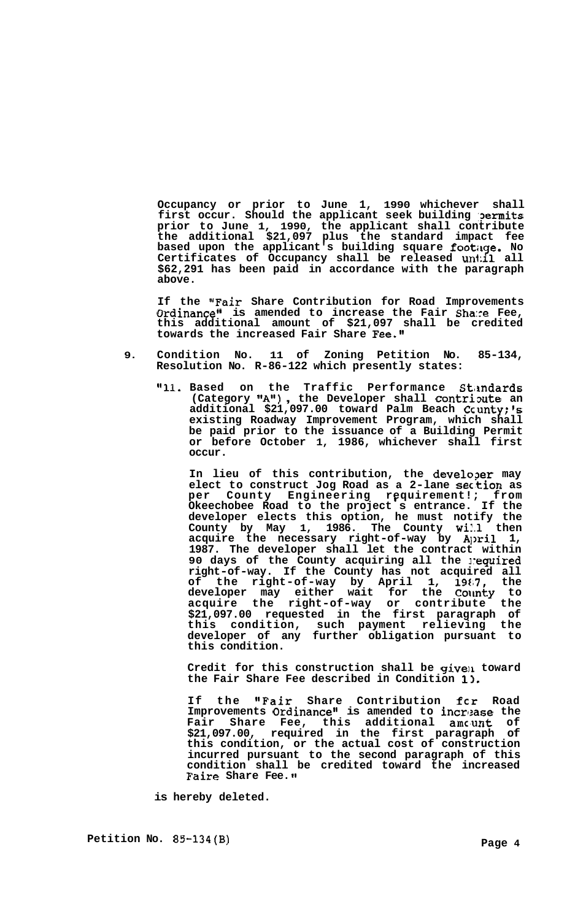**Occupancy or prior to June 1, 1990 whichever shall first occur. Should the applicant seek building ,permits prior to June 1, 1990, the applicant shall contribute the additional \$21,097 plus the standard impact fee based upon the applicant's building square footikge. No Certificates of Occupancy shall be released un1:il all \$62,291 has been paid in accordance with the paragraph above.** 

**If the "Fair Share Contribution for Road Improvements Ordinance" is amended to increase the Fair Sha:re Fee, this additional amount of \$21,097 shall be credited towards the increased Fair Share Fee."** 

- **9. Condition No. 11 of Zoning Petition No. 85-134, Resolution No. R-86-122 which presently states:** 
	- **ggll. Based on the Traffic Performance SLmdards (Category tfAtt)** , **the Developer shall contrioute an additional \$21,097.00 toward Palm Beach Ccunty;'s existing Roadway Improvement Program, which shall be paid prior to the issuance of a Building Permit or before October 1, 1986, whichever shall first occur.**

**In lieu of this contribution, the develo?er may elect to construct Jog Road as a 2-lane sec.tion as per County Engineering requirement!; from Okeechobee Road to the project** ' **s entrance. If the**  developer elects this option, he must notify the County by May 1, 1986. The County **will** then **County by May 1, 1986. The County wil.1 then acquire the necessary right-of-way by A])ril 1, 1987. The developer shall let the contract within 90 days of the County acquiring all the 1:equired right-of-way. If the County has not acquired all of the right-of-way by April 1, 19Ei7, the**  developer may either wait for the Count**y** to **acquire the right-of-way or contribute the \$21,097.00 requested in the first paragraph of this condition, such payment relieving the developer of any further obligation pursuant to this condition.** 

Credit for this construction shall be given toward **the Fair Share Fee described in Condition 11.** 

**If the "Fair Share Contribution fcr Road**  Improvements Ordinance" is amended to increase the **Fair Share Fee, this additional amc,unt of \$21,097.00, required in the first paragraph of this condition, or the actual cost of construction incurred pursuant to the second paragraph of this condition shall be credited toward the increased Faire Share Fee.** 

**is hereby deleted.**